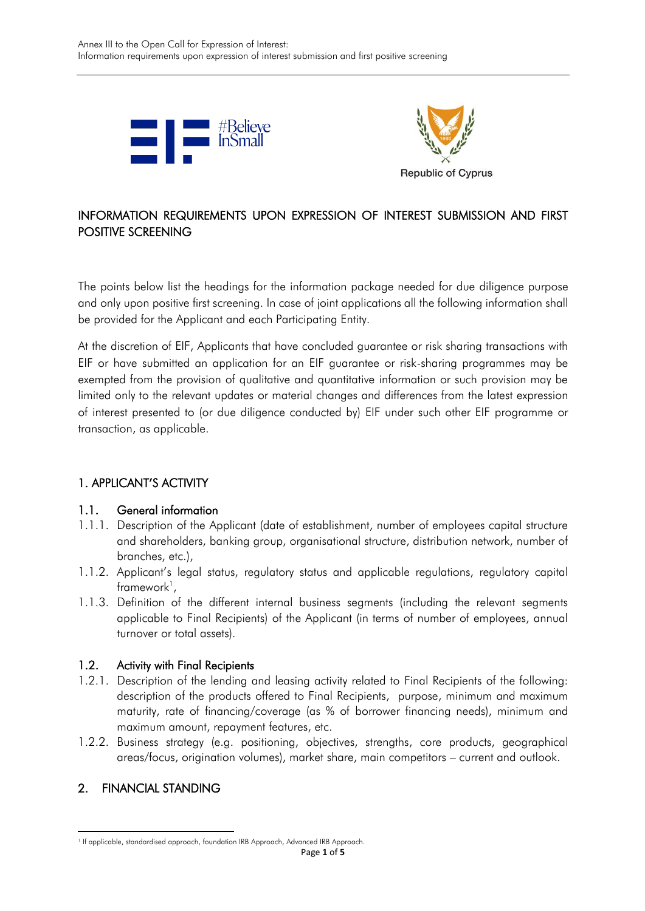



# INFORMATION REQUIREMENTS UPON EXPRESSION OF INTEREST SUBMISSION AND FIRST POSITIVE SCREENING

The points below list the headings for the information package needed for due diligence purpose and only upon positive first screening. In case of joint applications all the following information shall be provided for the Applicant and each Participating Entity.

At the discretion of EIF, Applicants that have concluded guarantee or risk sharing transactions with EIF or have submitted an application for an EIF guarantee or risk-sharing programmes may be exempted from the provision of qualitative and quantitative information or such provision may be limited only to the relevant updates or material changes and differences from the latest expression of interest presented to (or due diligence conducted by) EIF under such other EIF programme or transaction, as applicable.

## 1. APPLICANT'S ACTIVITY

### 1.1. General information

- 1.1.1. Description of the Applicant (date of establishment, number of employees capital structure and shareholders, banking group, organisational structure, distribution network, number of branches, etc.),
- 1.1.2. Applicant's legal status, regulatory status and applicable regulations, regulatory capital  ${\sf framework}^{\sf 1}$  ,
- 1.1.3. Definition of the different internal business segments (including the relevant segments applicable to Final Recipients) of the Applicant (in terms of number of employees, annual turnover or total assets).

### 1.2. Activity with Final Recipients

- 1.2.1. Description of the lending and leasing activity related to Final Recipients of the following: description of the products offered to Final Recipients, purpose, minimum and maximum maturity, rate of financing/coverage (as % of borrower financing needs), minimum and maximum amount, repayment features, etc.
- 1.2.2. Business strategy (e.g. positioning, objectives, strengths, core products, geographical areas/focus, origination volumes), market share, main competitors – current and outlook.

# 2. FINANCIAL STANDING

**<sup>.</sup>** 1 If applicable, standardised approach, foundation IRB Approach, Advanced IRB Approach.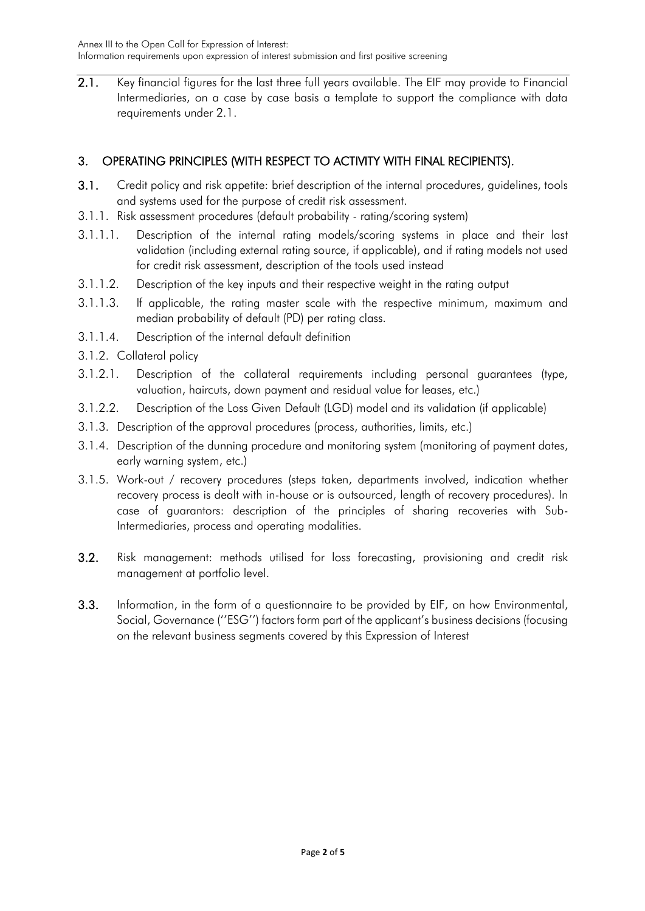2.1. Key financial figures for the last three full years available. The EIF may provide to Financial Intermediaries, on a case by case basis a template to support the compliance with data requirements under 2.1.

# 3. OPERATING PRINCIPLES (WITH RESPECT TO ACTIVITY WITH FINAL RECIPIENTS).

- 3.1. Credit policy and risk appetite: brief description of the internal procedures, guidelines, tools and systems used for the purpose of credit risk assessment.
- 3.1.1. Risk assessment procedures (default probability rating/scoring system)
- 3.1.1.1. Description of the internal rating models/scoring systems in place and their last validation (including external rating source, if applicable), and if rating models not used for credit risk assessment, description of the tools used instead
- 3.1.1.2. Description of the key inputs and their respective weight in the rating output
- 3.1.1.3. If applicable, the rating master scale with the respective minimum, maximum and median probability of default (PD) per rating class.
- 3.1.1.4. Description of the internal default definition
- 3.1.2. Collateral policy
- 3.1.2.1. Description of the collateral requirements including personal guarantees (type, valuation, haircuts, down payment and residual value for leases, etc.)
- 3.1.2.2. Description of the Loss Given Default (LGD) model and its validation (if applicable)
- 3.1.3. Description of the approval procedures (process, authorities, limits, etc.)
- 3.1.4. Description of the dunning procedure and monitoring system (monitoring of payment dates, early warning system, etc.)
- 3.1.5. Work-out / recovery procedures (steps taken, departments involved, indication whether recovery process is dealt with in-house or is outsourced, length of recovery procedures). In case of guarantors: description of the principles of sharing recoveries with Sub-Intermediaries, process and operating modalities.
- 3.2. Risk management: methods utilised for loss forecasting, provisioning and credit risk management at portfolio level.
- 3.3. Information, in the form of a questionnaire to be provided by EIF, on how Environmental, Social, Governance (''ESG'') factors form part of the applicant's business decisions (focusing on the relevant business segments covered by this Expression of Interest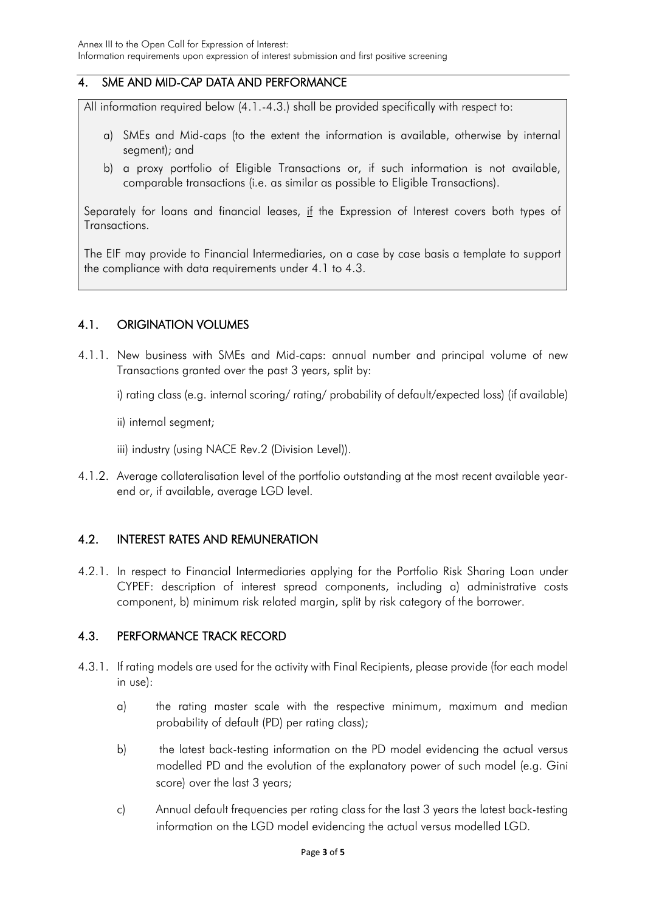### 4. SME AND MID-CAP DATA AND PERFORMANCE

All information required below (4.1.-4.3.) shall be provided specifically with respect to:

- a) SMEs and Mid-caps (to the extent the information is available, otherwise by internal segment); and
- b) a proxy portfolio of Eligible Transactions or, if such information is not available, comparable transactions (i.e. as similar as possible to Eligible Transactions).

Separately for loans and financial leases, if the Expression of Interest covers both types of Transactions.

The EIF may provide to Financial Intermediaries, on a case by case basis a template to support the compliance with data requirements under 4.1 to 4.3.

### 4.1. ORIGINATION VOLUMES

4.1.1. New business with SMEs and Mid-caps: annual number and principal volume of new Transactions granted over the past 3 years, split by:

i) rating class (e.g. internal scoring/ rating/ probability of default/expected loss) (if available)

- ii) internal segment;
- iii) industry (using NACE Rev.2 (Division Level)).
- 4.1.2. Average collateralisation level of the portfolio outstanding at the most recent available yearend or, if available, average LGD level.

#### 4.2. INTEREST RATES AND REMUNERATION

4.2.1. In respect to Financial Intermediaries applying for the Portfolio Risk Sharing Loan under CYPEF: description of interest spread components, including a) administrative costs component, b) minimum risk related margin, split by risk category of the borrower.

#### 4.3. PERFORMANCE TRACK RECORD

- 4.3.1. If rating models are used for the activity with Final Recipients, please provide (for each model in use):
	- a) the rating master scale with the respective minimum, maximum and median probability of default (PD) per rating class);
	- b) the latest back-testing information on the PD model evidencing the actual versus modelled PD and the evolution of the explanatory power of such model (e.g. Gini score) over the last 3 years;
	- c) Annual default frequencies per rating class for the last 3 years the latest back-testing information on the LGD model evidencing the actual versus modelled LGD.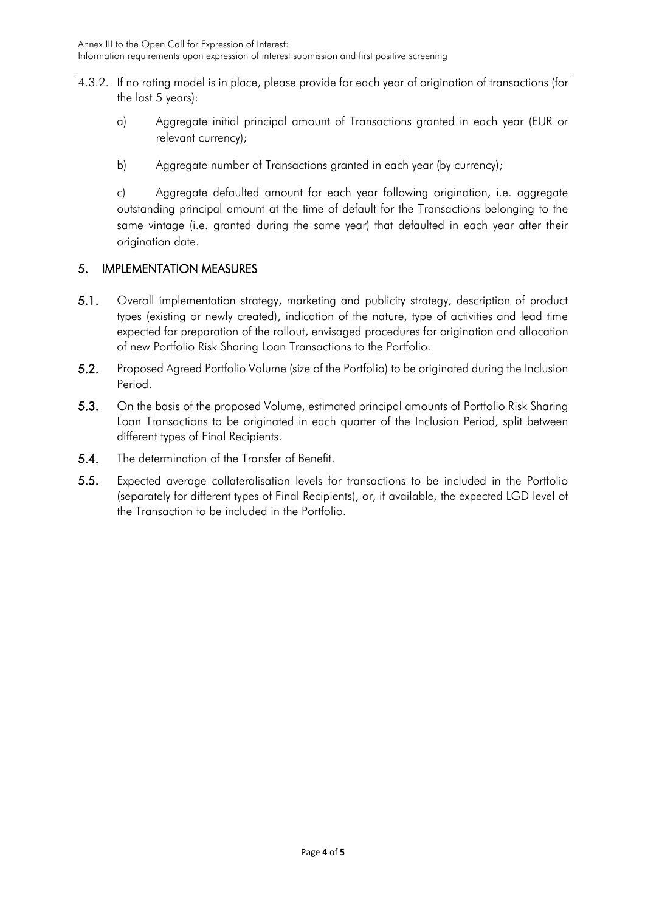- 4.3.2. If no rating model is in place, please provide for each year of origination of transactions (for the last 5 years):
	- a) Aggregate initial principal amount of Transactions granted in each year (EUR or relevant currency);
	- b) Aggregate number of Transactions granted in each year (by currency);

c) Aggregate defaulted amount for each year following origination, i.e. aggregate outstanding principal amount at the time of default for the Transactions belonging to the same vintage (i.e. granted during the same year) that defaulted in each year after their origination date.

### 5. IMPLEMENTATION MEASURES

- 5.1. Overall implementation strategy, marketing and publicity strategy, description of product types (existing or newly created), indication of the nature, type of activities and lead time expected for preparation of the rollout, envisaged procedures for origination and allocation of new Portfolio Risk Sharing Loan Transactions to the Portfolio.
- 5.2. Proposed Agreed Portfolio Volume (size of the Portfolio) to be originated during the Inclusion Period.
- 5.3. On the basis of the proposed Volume, estimated principal amounts of Portfolio Risk Sharing Loan Transactions to be originated in each quarter of the Inclusion Period, split between different types of Final Recipients.
- 5.4. The determination of the Transfer of Benefit.
- 5.5. Expected average collateralisation levels for transactions to be included in the Portfolio (separately for different types of Final Recipients), or, if available, the expected LGD level of the Transaction to be included in the Portfolio.